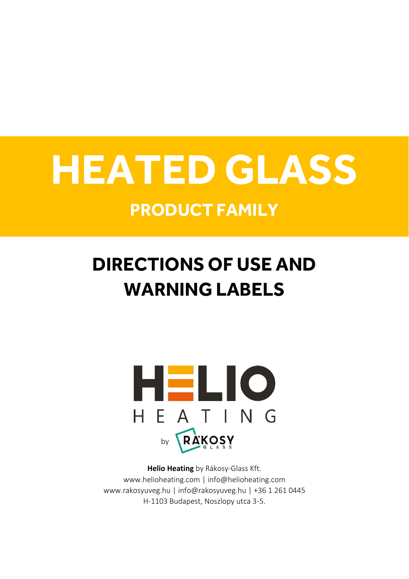# **HEATED GLASS**

### **PRODUCT FAMILY**

## **DIRECTIONS OF USE AND WARNING LABELS**



**Helio Heating** by Rákosy-Glass Kft. www.helioheating.com | info@helioheating.com www.rakosyuveg.hu | info@rakosyuveg.hu | +36 1 261 0445 H-1103 Budapest, Noszlopy utca 3-5.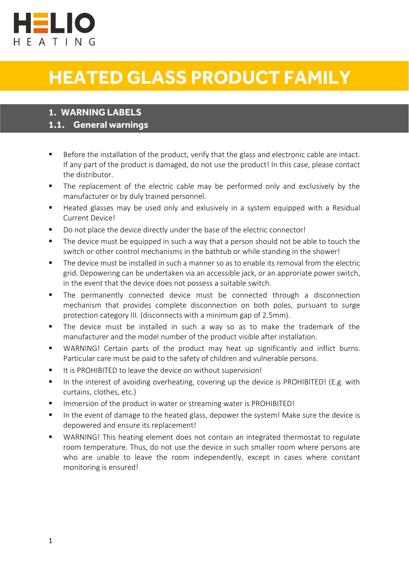

## **HEATED GLASS PRODUCT FAMILY**

#### **1. WARNING LABELS**

#### **1.1. General warnings**

- Before the installation of the product, verify that the glass and electronic cable are intact. If any part of the product is damaged, do not use the product! In this case, please contact the distributor.
- The replacement of the electric cable may be performed only and exclusively by the manufacturer or by duly trained personnel.
- Heated glasses may be used only and exlusively in a system equipped with a Residual Current Device!
- Do not place the device directly under the base of the electric connector!
- The device must be equipped in such a way that a person should not be able to touch the switch or other control mechanisms in the bathtub or while standing in the shower!
- The device must be installed in such a manner so as to enable its removal from the electric grid. Depowering can be undertaken via an accessible jack, or an approriate power switch, in the event that the device does not possess a suitable switch.
- The permanently connected device must be connected through a disconnection mechanism that provides complete disconnection on both poles, pursuant to surge protection category III. (disconnects with a minimum gap of 2.5mm).
- The device must be installed in such a way so as to make the trademark of the manufacturer and the model number of the product visible after installation.
- WARNING! Certain parts of the product may heat up significantly and inflict burns. Particular care must be paid to the safety of children and vulnerable persons.
- It is PROHIBITED to leave the device on without supervision!
- In the interest of avoiding overheating, covering up the device is PROHIBITED! (E.g. with curtains, clothes, etc.)
- Immersion of the product in water or streaming water is PROHIBITED!
- In the event of damage to the heated glass, depower the system! Make sure the device is depowered and ensure its replacement!
- WARNING! This heating element does not contain an integrated thermostat to regulate room temperature. Thus, do not use the device in such smaller room where persons are who are unable to leave the room independently, except in cases where constant monitoring is ensured!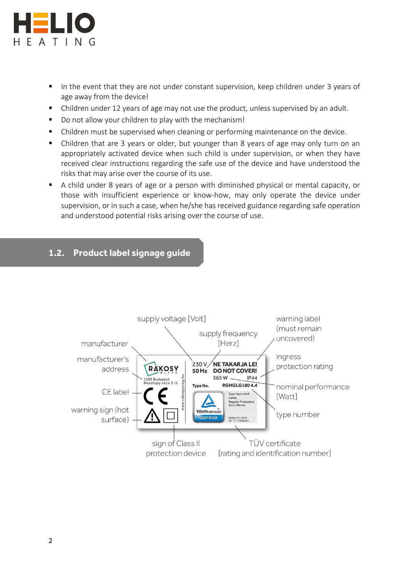

l

- In the event that they are not under constant supervision, keep children under 3 years of age away from the device!
- Children under 12 years of age may not use the product, unless supervised by an adult.
- Do not allow your children to play with the mechanism!
- Children must be supervised when cleaning or performing maintenance on the device.
- Children that are 3 years or older, but younger than 8 years of age may only turn on an appropriately activated device when such child is under supervision, or when they have received clear instructions regarding the safe use of the device and have understood the risks that may arise over the course of its use.
- A child under 8 years of age or a person with diminished physical or mental capacity, or those with insufficient experience or know-how, may only operate the device under supervision, or in such a case, when he/she has received guidance regarding safe operation and understood potential risks arising over the course of use.

#### **1.2. Product label signage guide**

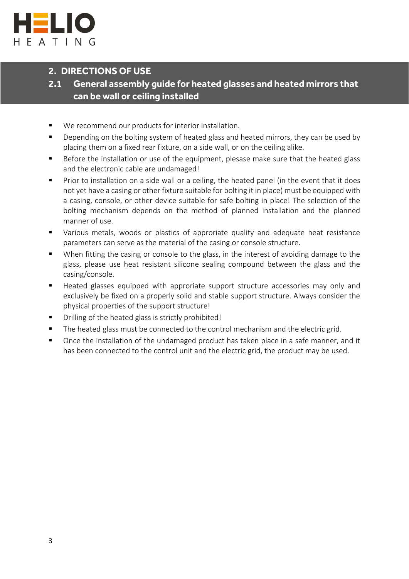

#### **2. DIRECTIONS OF USE**

#### **2.1 General assembly guide for heated glasses and heated mirrors that can be wall or ceiling installed**

- We recommend our products for interior installation.
- **Depending on the bolting system of heated glass and heated mirrors, they can be used by** placing them on a fixed rear fixture, on a side wall, or on the ceiling alike.
- Before the installation or use of the equipment, plesase make sure that the heated glass and the electronic cable are undamaged!
- **Prior to installation on a side wall or a ceiling, the heated panel (in the event that it does** not yet have a casing or other fixture suitable for bolting it in place) must be equipped with a casing, console, or other device suitable for safe bolting in place! The selection of the bolting mechanism depends on the method of planned installation and the planned manner of use.
- Various metals, woods or plastics of approriate quality and adequate heat resistance parameters can serve as the material of the casing or console structure.
- When fitting the casing or console to the glass, in the interest of avoiding damage to the glass, please use heat resistant silicone sealing compound between the glass and the casing/console.
- Heated glasses equipped with approriate support structure accessories may only and exclusively be fixed on a properly solid and stable support structure. Always consider the physical properties of the support structure!
- Drilling of the heated glass is strictly prohibited!
- The heated glass must be connected to the control mechanism and the electric grid.
- **•** Once the installation of the undamaged product has taken place in a safe manner, and it has been connected to the control unit and the electric grid, the product may be used.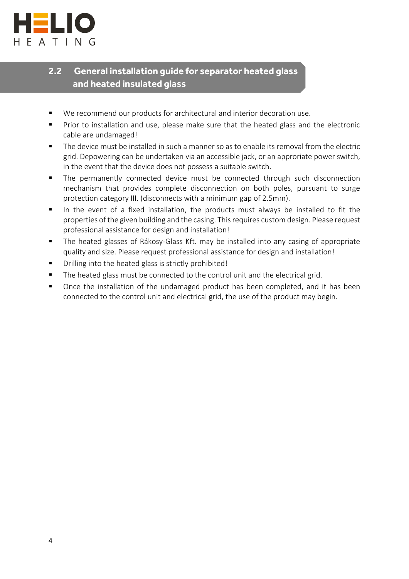

#### **2.2 General installation guide for separator heated glass and heated insulated glass**

- We recommend our products for architectural and interior decoration use.
- **Prior to installation and use, please make sure that the heated glass and the electronic** cable are undamaged!
- The device must be installed in such a manner so as to enable its removal from the electric grid. Depowering can be undertaken via an accessible jack, or an approriate power switch, in the event that the device does not possess a suitable switch.
- The permanently connected device must be connected through such disconnection mechanism that provides complete disconnection on both poles, pursuant to surge protection category III. (disconnects with a minimum gap of 2.5mm).
- In the event of a fixed installation, the products must always be installed to fit the properties of the given building and the casing. This requires custom design. Please request professional assistance for design and installation!
- The heated glasses of Rákosy-Glass Kft. may be installed into any casing of appropriate quality and size. Please request professional assistance for design and installation!
- Drilling into the heated glass is strictly prohibited!
- The heated glass must be connected to the control unit and the electrical grid.
- **Once the installation of the undamaged product has been completed, and it has been** connected to the control unit and electrical grid, the use of the product may begin.